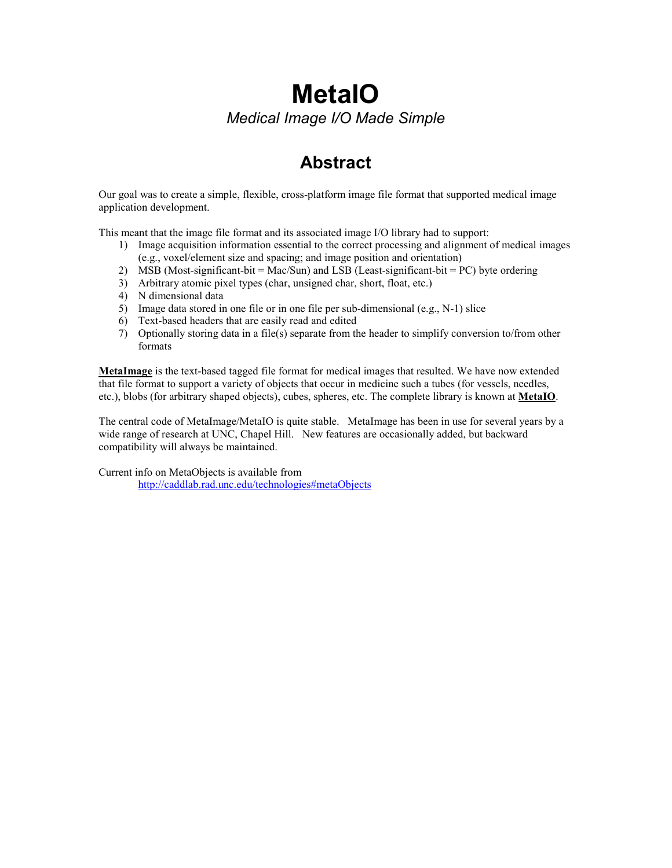# MetaIO Medical Image I/O Made Simple

# Abstract

Our goal was to create a simple, flexible, cross-platform image file format that supported medical image application development.

This meant that the image file format and its associated image I/O library had to support:

- 1) Image acquisition information essential to the correct processing and alignment of medical images (e.g., voxel/element size and spacing; and image position and orientation)
- 2) MSB (Most-significant-bit = Mac/Sun) and LSB (Least-significant-bit = PC) byte ordering
- 3) Arbitrary atomic pixel types (char, unsigned char, short, float, etc.)
- 4) N dimensional data
- 5) Image data stored in one file or in one file per sub-dimensional (e.g., N-1) slice
- 6) Text-based headers that are easily read and edited
- 7) Optionally storing data in a file(s) separate from the header to simplify conversion to/from other formats

MetaImage is the text-based tagged file format for medical images that resulted. We have now extended that file format to support a variety of objects that occur in medicine such a tubes (for vessels, needles, etc.), blobs (for arbitrary shaped objects), cubes, spheres, etc. The complete library is known at MetaIO.

The central code of MetaImage/MetaIO is quite stable. MetaImage has been in use for several years by a wide range of research at UNC, Chapel Hill. New features are occasionally added, but backward compatibility will always be maintained.

Current info on MetaObjects is available from http://caddlab.rad.unc.edu/technologies#metaObjects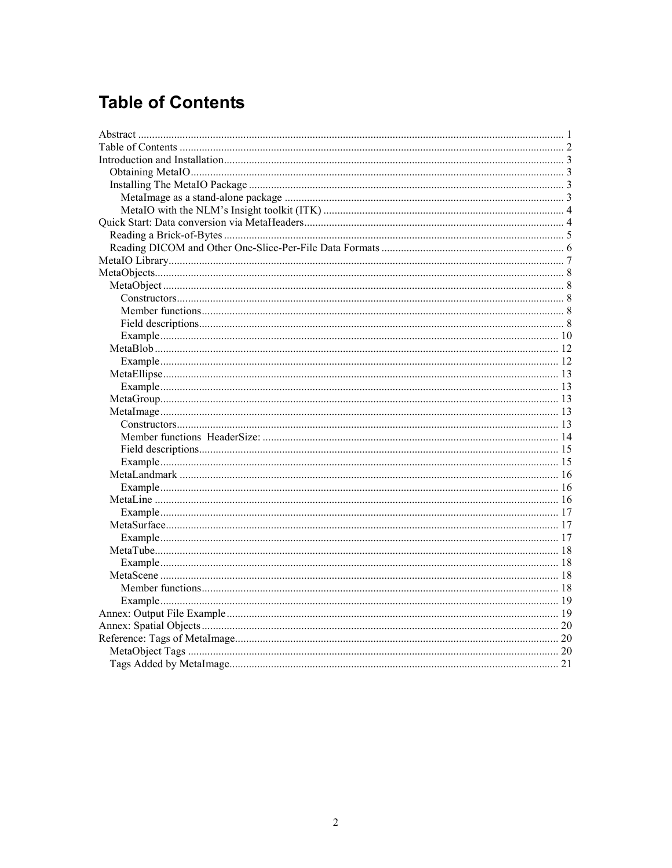# **Table of Contents**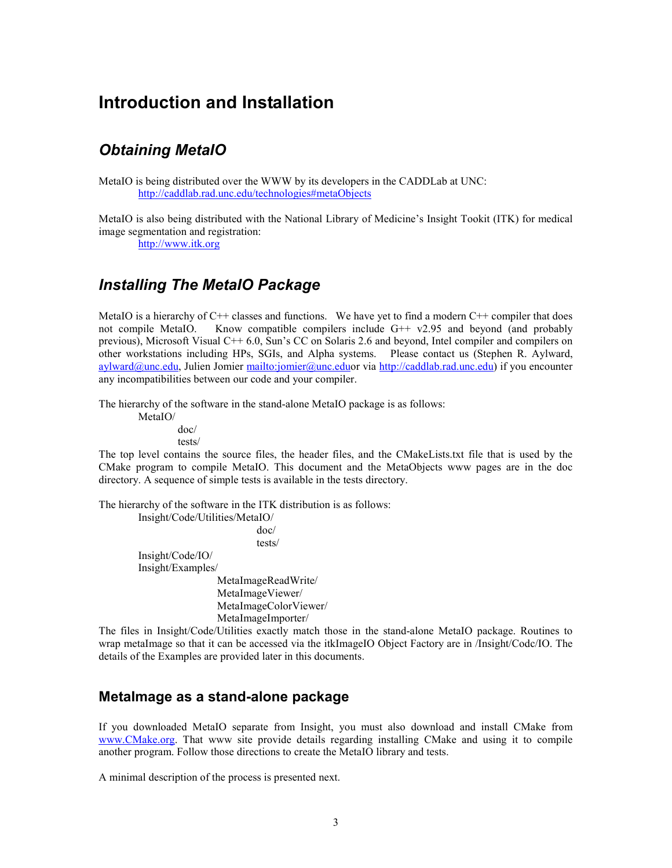## Introduction and Installation

## Obtaining MetaIO

MetaIO is being distributed over the WWW by its developers in the CADDLab at UNC: http://caddlab.rad.unc.edu/technologies#metaObjects

MetaIO is also being distributed with the National Library of Medicine's Insight Tookit (ITK) for medical image segmentation and registration:

http://www.itk.org

## Installing The MetaIO Package

MetaIO is a hierarchy of  $C_{++}$  classes and functions. We have yet to find a modern  $C_{++}$  compiler that does not compile MetaIO. Know compatible compilers include  $G^{++}$  v2.95 and beyond (and probably previous), Microsoft Visual C++ 6.0, Sun's CC on Solaris 2.6 and beyond, Intel compiler and compilers on other workstations including HPs, SGIs, and Alpha systems. Please contact us (Stephen R. Aylward, aylward@unc.edu, Julien Jomier mailto:jomier@unc.eduor via http://caddlab.rad.unc.edu) if you encounter any incompatibilities between our code and your compiler.

The hierarchy of the software in the stand-alone MetaIO package is as follows:

 MetaIO/ doc/ tests/

The top level contains the source files, the header files, and the CMakeLists.txt file that is used by the CMake program to compile MetaIO. This document and the MetaObjects www pages are in the doc directory. A sequence of simple tests is available in the tests directory.

The hierarchy of the software in the ITK distribution is as follows:

 Insight/Code/Utilities/MetaIO/ doc/ tests/ Insight/Code/IO/ Insight/Examples/ MetaImageReadWrite/ MetaImageViewer/ MetaImageColorViewer/ MetaImageImporter/

The files in Insight/Code/Utilities exactly match those in the stand-alone MetaIO package. Routines to wrap metaImage so that it can be accessed via the itkImageIO Object Factory are in /Insight/Codc/IO. The details of the Examples are provided later in this documents.

### MetaImage as a stand-alone package

If you downloaded MetaIO separate from Insight, you must also download and install CMake from www.CMake.org. That www site provide details regarding installing CMake and using it to compile another program. Follow those directions to create the MetaIO library and tests.

A minimal description of the process is presented next.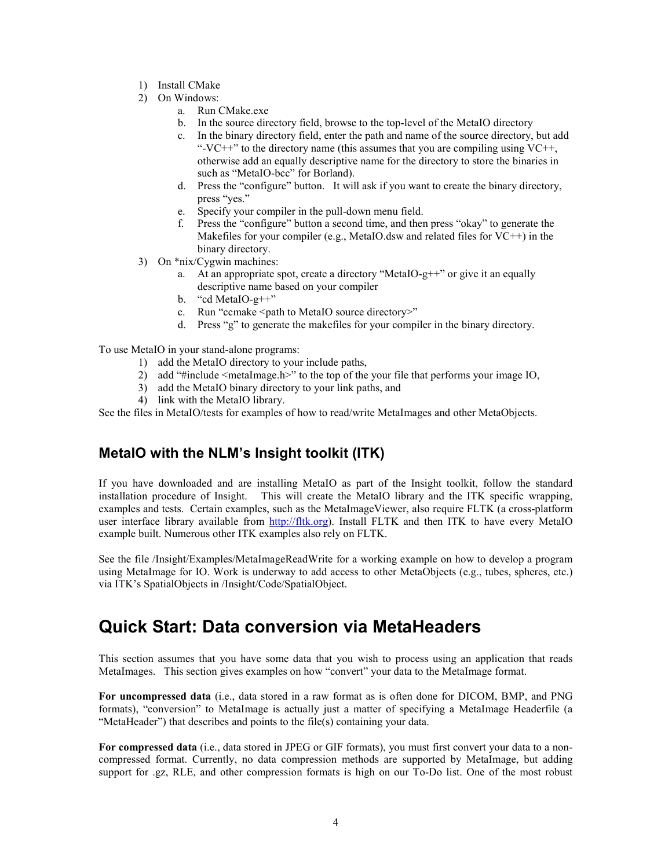- 1) Install CMake
- 2) On Windows:
	- a. Run CMake.exe
	- b. In the source directory field, browse to the top-level of the MetaIO directory
	- c. In the binary directory field, enter the path and name of the source directory, but add "-VC++" to the directory name (this assumes that you are compiling using  $VC++$ , otherwise add an equally descriptive name for the directory to store the binaries in such as "MetaIO-bcc" for Borland).
	- d. Press the "configure" button. It will ask if you want to create the binary directory, press "yes."
	- e. Specify your compiler in the pull-down menu field.
	- f. Press the "configure" button a second time, and then press "okay" to generate the Makefiles for your compiler (e.g., MetaIO.dsw and related files for VC++) in the binary directory.
- 3) On \*nix/Cygwin machines:
	- a. At an appropriate spot, create a directory "MetaIO-g++" or give it an equally descriptive name based on your compiler
	- b. "cd MetaIO-g++"
	- c. Run "ccmake <path to MetaIO source directory>"
	- d. Press "g" to generate the makefiles for your compiler in the binary directory.

To use MetaIO in your stand-alone programs:

- 1) add the MetaIO directory to your include paths,
- 2) add "#include <metaImage.h>" to the top of the your file that performs your image IO,
- 3) add the MetaIO binary directory to your link paths, and
- 4) link with the MetaIO library.

See the files in MetaIO/tests for examples of how to read/write MetaImages and other MetaObjects.

### MetaIO with the NLM's Insight toolkit (ITK)

If you have downloaded and are installing MetaIO as part of the Insight toolkit, follow the standard installation procedure of Insight. This will create the MetaIO library and the ITK specific wrapping, examples and tests. Certain examples, such as the MetaImageViewer, also require FLTK (a cross-platform user interface library available from http://fltk.org). Install FLTK and then ITK to have every MetaIO example built. Numerous other ITK examples also rely on FLTK.

See the file /Insight/Examples/MetaImageReadWrite for a working example on how to develop a program using MetaImage for IO. Work is underway to add access to other MetaObjects (e.g., tubes, spheres, etc.) via ITK's SpatialObjects in /Insight/Code/SpatialObject.

# Quick Start: Data conversion via MetaHeaders

This section assumes that you have some data that you wish to process using an application that reads MetaImages. This section gives examples on how "convert" your data to the MetaImage format.

For uncompressed data (i.e., data stored in a raw format as is often done for DICOM, BMP, and PNG formats), "conversion" to MetaImage is actually just a matter of specifying a MetaImage Headerfile (a "MetaHeader") that describes and points to the file(s) containing your data.

For compressed data (i.e., data stored in JPEG or GIF formats), you must first convert your data to a noncompressed format. Currently, no data compression methods are supported by MetaImage, but adding support for .gz, RLE, and other compression formats is high on our To-Do list. One of the most robust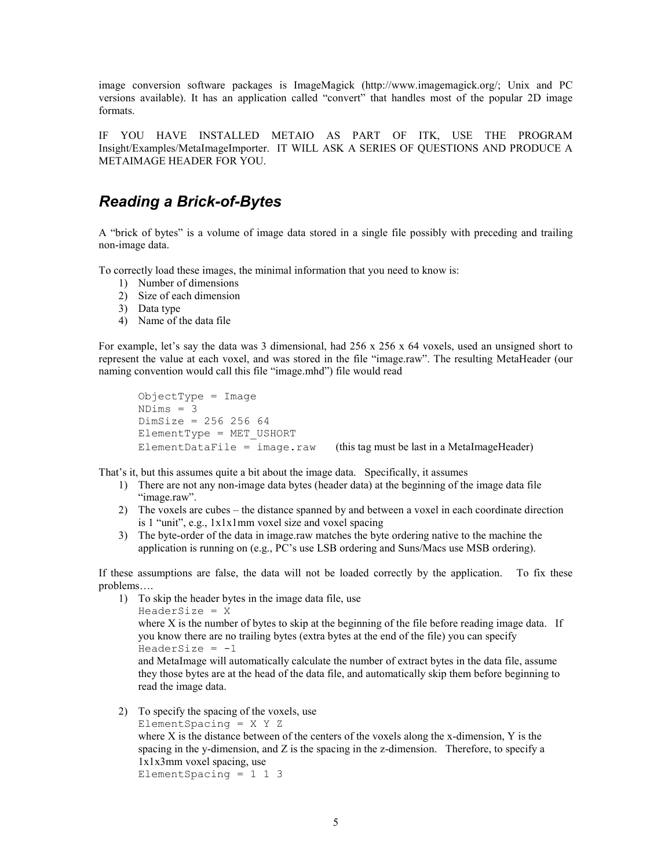image conversion software packages is ImageMagick (http://www.imagemagick.org/; Unix and PC versions available). It has an application called "convert" that handles most of the popular 2D image formats.

IF YOU HAVE INSTALLED METAIO AS PART OF ITK, USE THE PROGRAM Insight/Examples/MetaImageImporter. IT WILL ASK A SERIES OF QUESTIONS AND PRODUCE A METAIMAGE HEADER FOR YOU.

## Reading a Brick-of-Bytes

A "brick of bytes" is a volume of image data stored in a single file possibly with preceding and trailing non-image data.

To correctly load these images, the minimal information that you need to know is:

- 1) Number of dimensions
- 2) Size of each dimension
- 3) Data type
- 4) Name of the data file

For example, let's say the data was 3 dimensional, had  $256 \times 256 \times 64$  voxels, used an unsigned short to represent the value at each voxel, and was stored in the file "image.raw". The resulting MetaHeader (our naming convention would call this file "image.mhd") file would read

```
ObjectType = ImageNDims = 3 DimSize = 256 256 64 
 ElementType = MET_USHORT 
ElementDataFile = image.raw (this tag must be last in a MetaImageHeader)
```
That's it, but this assumes quite a bit about the image data. Specifically, it assumes

- 1) There are not any non-image data bytes (header data) at the beginning of the image data file "image.raw".
- 2) The voxels are cubes the distance spanned by and between a voxel in each coordinate direction is 1 "unit", e.g., 1x1x1mm voxel size and voxel spacing
- 3) The byte-order of the data in image.raw matches the byte ordering native to the machine the application is running on (e.g., PC's use LSB ordering and Suns/Macs use MSB ordering).

If these assumptions are false, the data will not be loaded correctly by the application. To fix these problems….

- 1) To skip the header bytes in the image data file, use HeaderSize = X where X is the number of bytes to skip at the beginning of the file before reading image data. If you know there are no trailing bytes (extra bytes at the end of the file) you can specify  $Headersize = -1$ and MetaImage will automatically calculate the number of extract bytes in the data file, assume they those bytes are at the head of the data file, and automatically skip them before beginning to read the image data.
- 2) To specify the spacing of the voxels, use

```
ElementSpacing = X Y Z
```
where X is the distance between of the centers of the voxels along the x-dimension, Y is the spacing in the y-dimension, and Z is the spacing in the z-dimension. Therefore, to specify a 1x1x3mm voxel spacing, use

ElementSpacing =  $1 \t1 \t3$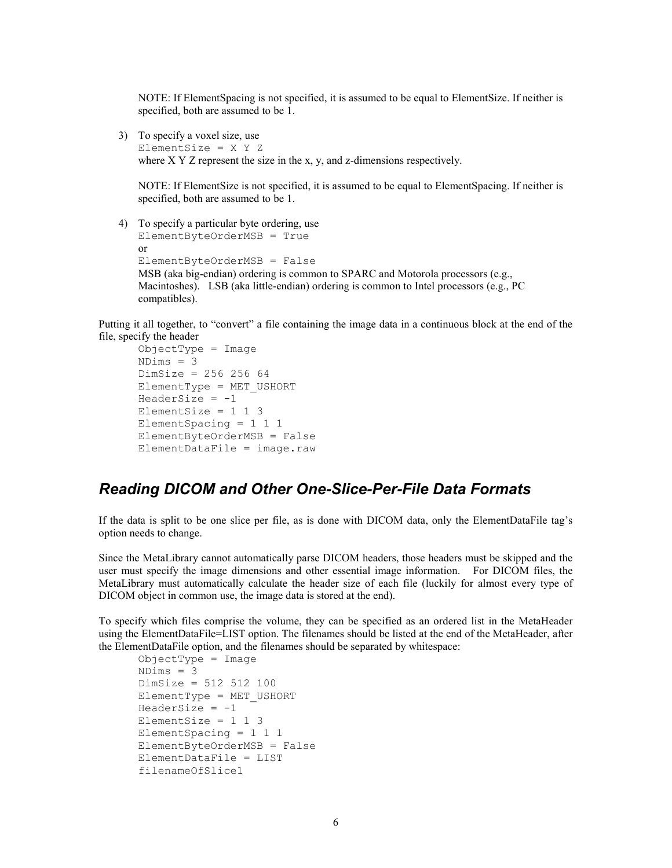NOTE: If ElementSpacing is not specified, it is assumed to be equal to ElementSize. If neither is specified, both are assumed to be 1.

3) To specify a voxel size, use

ElementSize =  $X$   $Y$   $Z$ where X Y Z represent the size in the x, y, and z-dimensions respectively.

NOTE: If ElementSize is not specified, it is assumed to be equal to ElementSpacing. If neither is specified, both are assumed to be 1.

4) To specify a particular byte ordering, use ElementByteOrderMSB = True or ElementByteOrderMSB = False MSB (aka big-endian) ordering is common to SPARC and Motorola processors (e.g., Macintoshes). LSB (aka little-endian) ordering is common to Intel processors (e.g., PC compatibles).

Putting it all together, to "convert" a file containing the image data in a continuous block at the end of the file, specify the header

```
ObjectType = Image
 NDims = 3 
 DimSize = 256 256 64 
 ElementType = MET_USHORT 
HeaderSize = -1ElementSize = 1 \t1 \t3 ElementSpacing = 1 1 1 
 ElementByteOrderMSB = False 
ElementDataFile = image, raw
```
### Reading DICOM and Other One-Slice-Per-File Data Formats

If the data is split to be one slice per file, as is done with DICOM data, only the ElementDataFile tag's option needs to change.

Since the MetaLibrary cannot automatically parse DICOM headers, those headers must be skipped and the user must specify the image dimensions and other essential image information. For DICOM files, the MetaLibrary must automatically calculate the header size of each file (luckily for almost every type of DICOM object in common use, the image data is stored at the end).

To specify which files comprise the volume, they can be specified as an ordered list in the MetaHeader using the ElementDataFile=LIST option. The filenames should be listed at the end of the MetaHeader, after the ElementDataFile option, and the filenames should be separated by whitespace:

```
ObjectType = Image
NDims = 3 DimSize = 512 512 100 
 ElementType = MET_USHORT 
HeaderSize = -1ElementSize = 1 \t1 \t3ElementSpacing = 1 1 1 ElementByteOrderMSB = False 
 ElementDataFile = LIST 
 filenameOfSlice1
```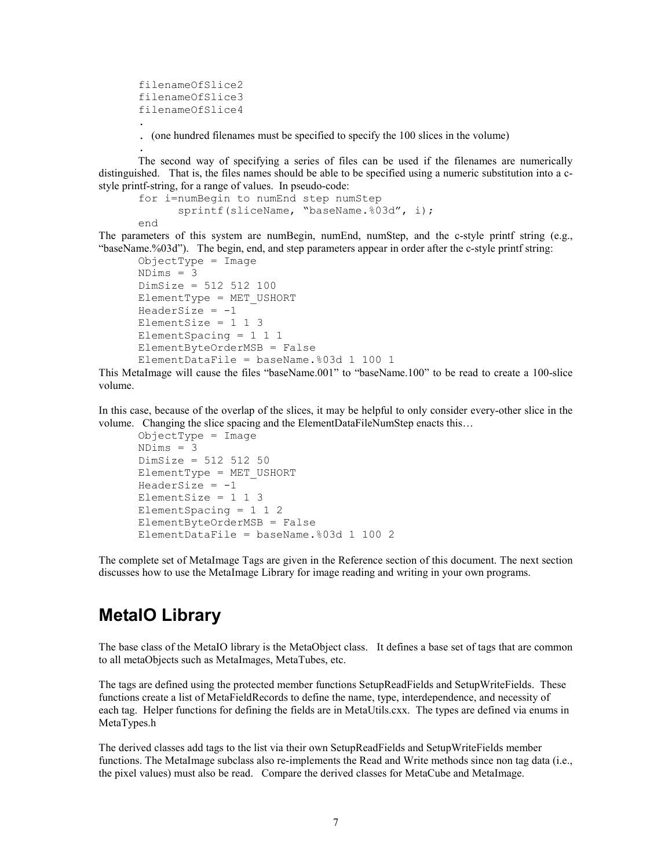```
 filenameOfSlice2 
 filenameOfSlice3 
 filenameOfSlice4
```
.

.

. (one hundred filenames must be specified to specify the 100 slices in the volume)

 The second way of specifying a series of files can be used if the filenames are numerically distinguished. That is, the files names should be able to be specified using a numeric substitution into a cstyle printf-string, for a range of values. In pseudo-code:

```
 for i=numBegin to numEnd step numStep 
      sprintf(sliceName, "baseName.%03d", i);
 end
```
The parameters of this system are numBegin, numEnd, numStep, and the c-style printf string (e.g., "baseName.%03d"). The begin, end, and step parameters appear in order after the c-style printf string:

```
ObjectType = Image
NDims = 3 DimSize = 512 512 100 
 ElementType = MET_USHORT 
HeaderSize = -1ElementSize = 1 \t1 \t3 ElementSpacing = 1 1 1 
 ElementByteOrderMSB = False 
 ElementDataFile = baseName.%03d 1 100 1
```
This MetaImage will cause the files "baseName.001" to "baseName.100" to be read to create a 100-slice volume.

In this case, because of the overlap of the slices, it may be helpful to only consider every-other slice in the volume. Changing the slice spacing and the ElementDataFileNumStep enacts this…

```
ObjectType = Image
NDims = 3 DimSize = 512 512 50 
 ElementType = MET_USHORT 
HeaderSize = -1ElementSize = 1 \t1 \t3 ElementSpacing = 1 1 2 
 ElementByteOrderMSB = False 
 ElementDataFile = baseName.%03d 1 100 2
```
The complete set of MetaImage Tags are given in the Reference section of this document. The next section discusses how to use the MetaImage Library for image reading and writing in your own programs.

## MetaIO Library

The base class of the MetaIO library is the MetaObject class. It defines a base set of tags that are common to all metaObjects such as MetaImages, MetaTubes, etc.

The tags are defined using the protected member functions SetupReadFields and SetupWriteFields. These functions create a list of MetaFieldRecords to define the name, type, interdependence, and necessity of each tag. Helper functions for defining the fields are in MetaUtils.cxx. The types are defined via enums in MetaTypes.h

The derived classes add tags to the list via their own SetupReadFields and SetupWriteFields member functions. The MetaImage subclass also re-implements the Read and Write methods since non tag data (i.e., the pixel values) must also be read. Compare the derived classes for MetaCube and MetaImage.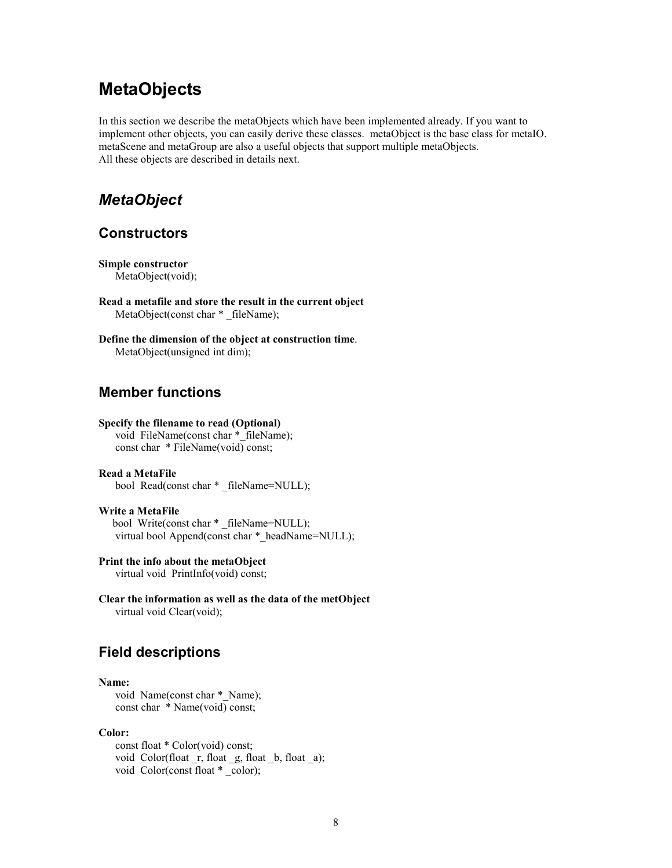## **MetaObjects**

In this section we describe the metaObjects which have been implemented already. If you want to implement other objects, you can easily derive these classes. metaObject is the base class for metaIO. metaScene and metaGroup are also a useful objects that support multiple metaObjects. All these objects are described in details next.

## MetaObject

### **Constructors**

Simple constructor MetaObject(void);

Read a metafile and store the result in the current object MetaObject(const char \* \_fileName);

Define the dimension of the object at construction time. MetaObject(unsigned int dim);

### Member functions

### Specify the filename to read (Optional)

void FileName(const char \* fileName); const char \* FileName(void) const;

### Read a MetaFile bool Read(const char \* \_fileName=NULL);

Write a MetaFile bool Write(const char \* \_fileName=NULL); virtual bool Append(const char \* headName=NULL);

### Print the info about the metaObject

virtual void PrintInfo(void) const;

Clear the information as well as the data of the metObject virtual void Clear(void);

### Field descriptions

#### Name:

void Name(const char \* Name); const char \* Name(void) const;

#### Color:

 const float \* Color(void) const; void Color(float \_r, float \_g, float \_b, float \_a); void Color(const float  $*$  \_color);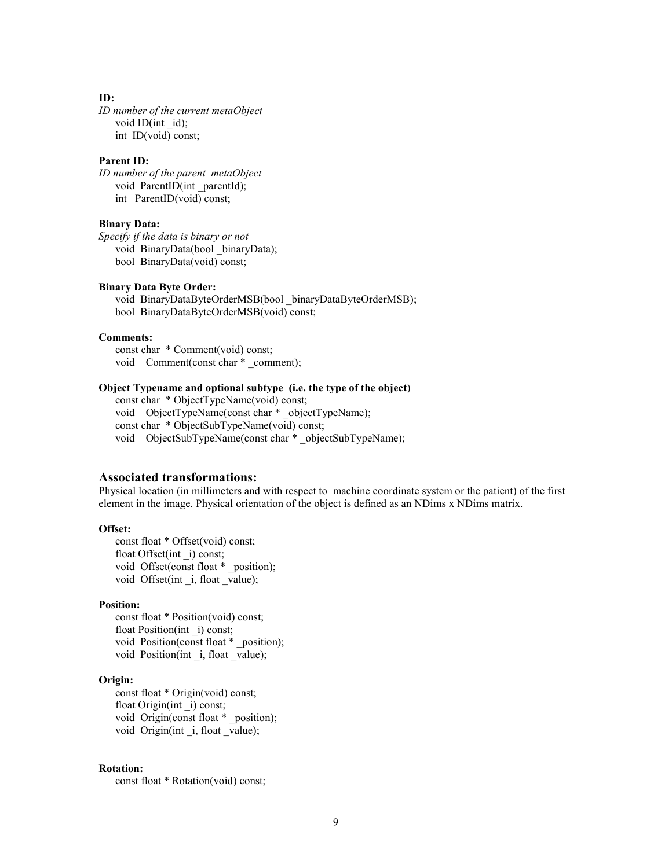#### ID:

ID number of the current metaObject void ID(int id); int ID(void) const;

#### Parent ID:

ID number of the parent metaObject void ParentID(int \_parentId); int ParentID(void) const;

### Binary Data:

Specify if the data is binary or not void BinaryData(bool \_binaryData); bool BinaryData(void) const;

#### Binary Data Byte Order:

 void BinaryDataByteOrderMSB(bool \_binaryDataByteOrderMSB); bool BinaryDataByteOrderMSB(void) const;

#### Comments:

 const char \* Comment(void) const; void Comment(const char \* comment);

### Object Typename and optional subtype (i.e. the type of the object)

 const char \* ObjectTypeName(void) const; void ObjectTypeName(const char \* objectTypeName); const char \* ObjectSubTypeName(void) const; void ObjectSubTypeName(const char \* objectSubTypeName);

### Associated transformations:

Physical location (in millimeters and with respect to machine coordinate system or the patient) of the first element in the image. Physical orientation of the object is defined as an NDims x NDims matrix.

#### Offset:

 const float \* Offset(void) const; float Offset(int \_i) const; void Offset(const float \* \_position); void Offset(int \_i, float \_value);

#### Position:

 const float \* Position(void) const; float Position(int \_i) const; void Position(const float \* \_position); void Position(int i, float value);

### Origin:

 const float \* Origin(void) const; float Origin(int \_i) const; void Origin(const float \* \_position); void Origin(int i, float value);

### Rotation:

const float \* Rotation(void) const;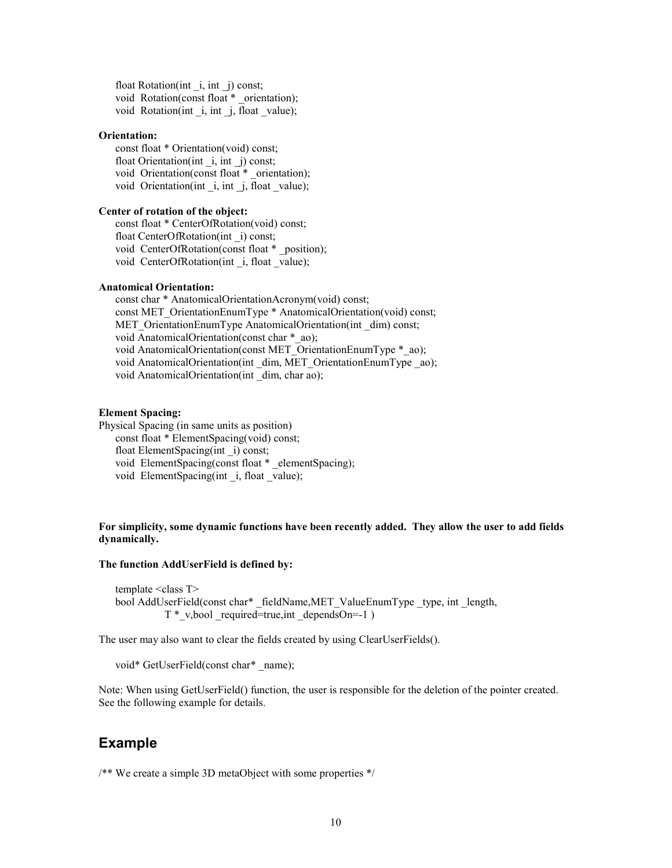float Rotation(int \_i, int \_j) const; void Rotation(const float \* orientation); void Rotation(int \_i, int \_j, float \_value);

#### Orientation:

 const float \* Orientation(void) const; float Orientation(int \_i, int \_j) const; void Orientation(const float \*\_orientation); void Orientation(int \_i, int \_j, float \_value);

### Center of rotation of the object:

 const float \* CenterOfRotation(void) const; float CenterOfRotation(int \_i) const; void CenterOfRotation(const float \* \_position); void CenterOfRotation(int i, float value);

#### Anatomical Orientation:

 const char \* AnatomicalOrientationAcronym(void) const; const MET\_OrientationEnumType \* AnatomicalOrientation(void) const; MET\_OrientationEnumType AnatomicalOrientation(int \_dim) const; void AnatomicalOrientation(const char \* ao); void AnatomicalOrientation(const MET\_OrientationEnumType \*\_ao); void AnatomicalOrientation(int \_dim, MET\_OrientationEnumType \_ao); void AnatomicalOrientation(int dim, char ao);

#### Element Spacing:

Physical Spacing (in same units as position) const float \* ElementSpacing(void) const; float ElementSpacing(int \_i) const; void ElementSpacing(const float \* \_elementSpacing); void ElementSpacing(int i, float value);

### For simplicity, some dynamic functions have been recently added. They allow the user to add fields dynamically.

#### The function AddUserField is defined by:

template <class T> bool AddUserField(const char\* \_fieldName,MET\_ValueEnumType \_type, int \_length,  $T^*$  v, bool required=true, int dependsOn=-1 )

The user may also want to clear the fields created by using ClearUserFields().

void\* GetUserField(const char\* \_name);

Note: When using GetUserField() function, the user is responsible for the deletion of the pointer created. See the following example for details.

### Example

/\*\* We create a simple 3D metaObject with some properties \*/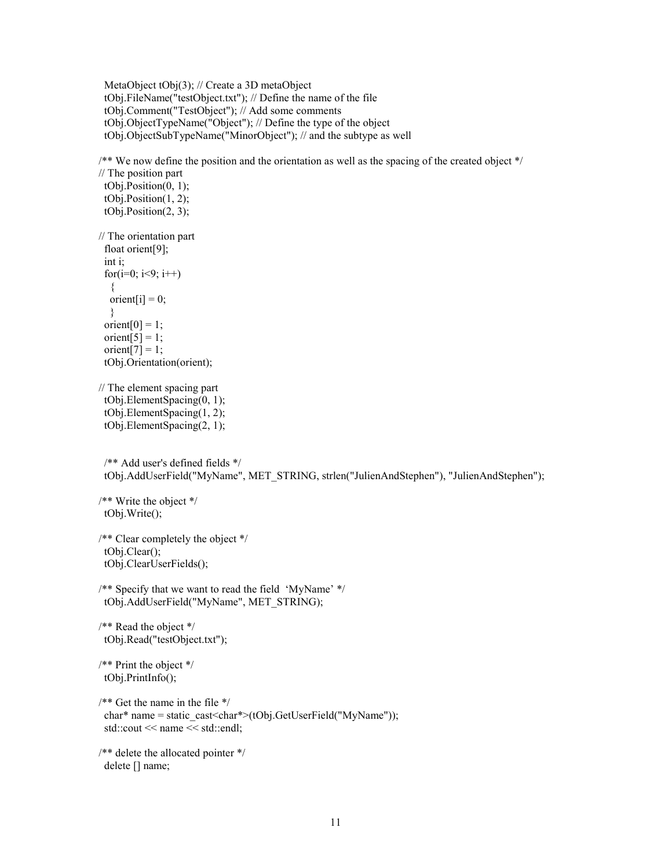MetaObject tObj(3); // Create a 3D metaObject tObj.FileName("testObject.txt"); // Define the name of the file tObj.Comment("TestObject"); // Add some comments tObj.ObjectTypeName("Object"); // Define the type of the object tObj.ObjectSubTypeName("MinorObject"); // and the subtype as well

/\*\* We now define the position and the orientation as well as the spacing of the created object \*/

// The position part tObj.Position(0, 1); tObj.Position(1, 2); tObj.Position(2, 3); // The orientation part float orient[9]; int i; for( $i=0$ ;  $i<9$ ;  $i++$ )  $\{$ orient[i] =  $0$ ; } orient $[0] = 1$ ; orient $\overline{[5]} = 1$ ; orient $[7] = 1$ ; tObj.Orientation(orient); // The element spacing part tObj.ElementSpacing(0, 1); tObj.ElementSpacing(1, 2); tObj.ElementSpacing(2, 1); /\*\* Add user's defined fields \*/ tObj.AddUserField("MyName", MET\_STRING, strlen("JulienAndStephen"), "JulienAndStephen"); /\*\* Write the object \*/ tObj.Write(); /\*\* Clear completely the object \*/ tObj.Clear(); tObj.ClearUserFields(); /\*\* Specify that we want to read the field 'MyName' \*/ tObj.AddUserField("MyName", MET\_STRING); /\*\* Read the object \*/ tObj.Read("testObject.txt"); /\*\* Print the object \*/ tObj.PrintInfo(); /\*\* Get the name in the file \*/ char\* name = static\_cast<char\*>(tObj.GetUserField("MyName")); std::cout << name << std::endl; /\*\* delete the allocated pointer \*/

delete [] name;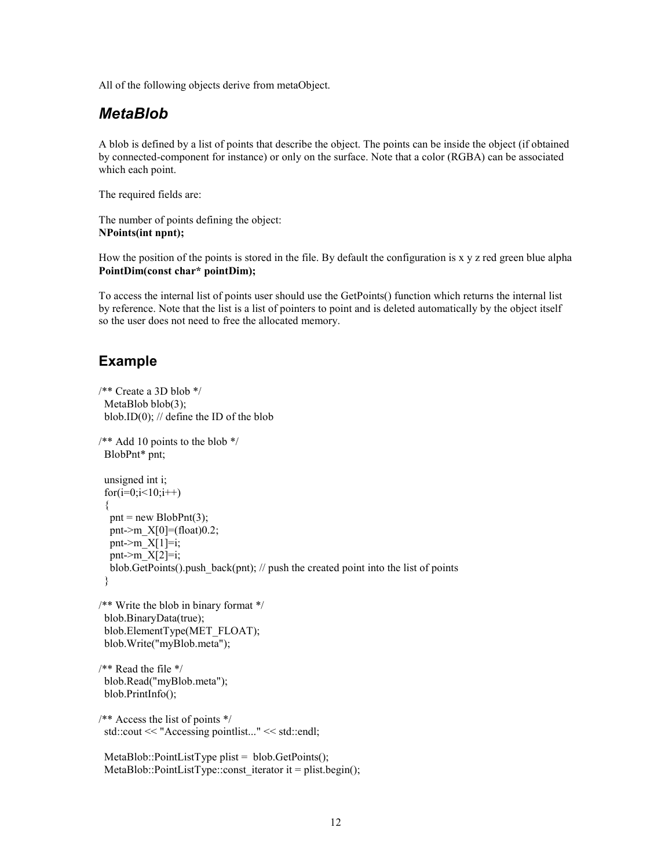All of the following objects derive from metaObject.

### MetaBlob

A blob is defined by a list of points that describe the object. The points can be inside the object (if obtained by connected-component for instance) or only on the surface. Note that a color (RGBA) can be associated which each point.

The required fields are:

The number of points defining the object: NPoints(int npnt);

How the position of the points is stored in the file. By default the configuration is x y z red green blue alpha PointDim(const char\* pointDim);

To access the internal list of points user should use the GetPoints() function which returns the internal list by reference. Note that the list is a list of pointers to point and is deleted automatically by the object itself so the user does not need to free the allocated memory.

### Example

```
/** Create a 3D blob */ 
 MetaBlob blob(3);
 blob.ID(0); // define the ID of the blob
/** Add 10 points to the blob */ BlobPnt* pnt; 
  unsigned int i; 
 for(i=0; i<10; i++) { 
  pnt = new BlobPnt(3);
  pnt->m_X[0]=(float)0.2;
  pnt\geq m_X[1]=i;pnt->m X[2]=i;
  blob.GetPoints().push back(pnt); // push the created point into the list of points
  } 
/** Write the blob in binary format */ 
  blob.BinaryData(true); 
  blob.ElementType(MET_FLOAT); 
  blob.Write("myBlob.meta"); 
/** Read the file */
```

```
 blob.Read("myBlob.meta"); 
 blob.PrintInfo();
```

```
/** Access the list of points */ 
  std::cout << "Accessing pointlist..." << std::endl;
```

```
MetaBlob::PointListType plist = blob.GetPoints();
MetaBlob::PointListType::const_iterator it = plist.begin();
```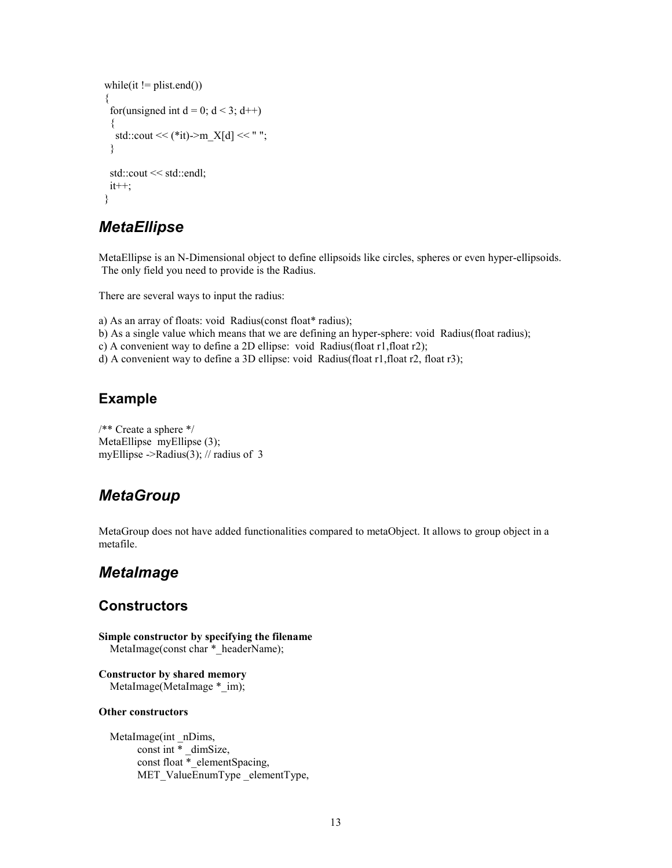```
while(it != plist.end())
 { 
 for(unsigned int d = 0; d < 3; d++)
 \{std::cout << (*it)->m_X[d] << " ";
  } 
  std::cout << std::endl; 
 it++; }
```
## **MetaEllipse**

MetaEllipse is an N-Dimensional object to define ellipsoids like circles, spheres or even hyper-ellipsoids. The only field you need to provide is the Radius.

There are several ways to input the radius:

a) As an array of floats: void Radius(const float\* radius);

- b) As a single value which means that we are defining an hyper-sphere: void Radius(float radius);
- c) A convenient way to define a 2D ellipse: void Radius(float r1,float r2);
- d) A convenient way to define a 3D ellipse: void Radius(float r1,float r2, float r3);

### Example

/\*\* Create a sphere \*/ MetaEllipse myEllipse (3); myEllipse ->Radius(3); // radius of 3

### **MetaGroup**

MetaGroup does not have added functionalities compared to metaObject. It allows to group object in a metafile.

### MetaImage

### **Constructors**

Simple constructor by specifying the filename MetaImage(const char \*\_headerName);

Constructor by shared memory MetaImage(MetaImage \*\_im);

### Other constructors

 MetaImage(int \_nDims, const int  $\overline{ }$  dimSize, const float \*\_elementSpacing, MET\_ValueEnumType elementType,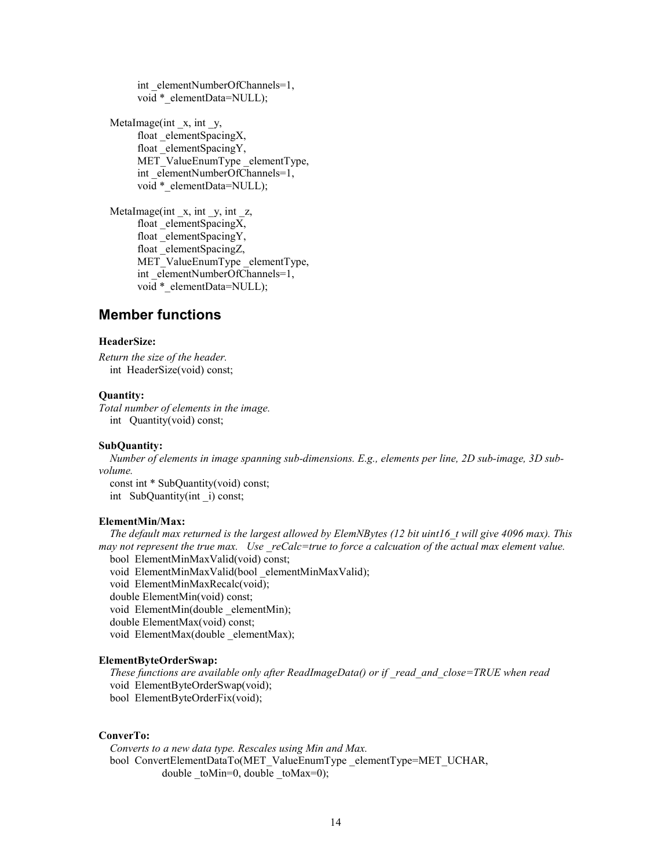int elementNumberOfChannels=1, void \* elementData=NULL);

MetaImage(int x, int y, float elementSpacingX, float \_elementSpacingY, MET\_ValueEnumType elementType, int elementNumberOfChannels=1, void \*\_elementData=NULL);

 MetaImage(int \_x, int \_y, int \_z, float elementSpacingX, float elementSpacingY, float \_elementSpacingZ, MET\_ValueEnumType \_elementType, int elementNumberOfChannels=1, void \* elementData=NULL);

### Member functions

### HeaderSize:

Return the size of the header. int HeaderSize(void) const;

#### Quantity:

Total number of elements in the image. int Quantity(void) const;

#### SubQuantity:

 Number of elements in image spanning sub-dimensions. E.g., elements per line, 2D sub-image, 3D subvolume.

 const int \* SubQuantity(void) const; int SubQuantity(int \_i) const;

#### ElementMin/Max:

The default max returned is the largest allowed by ElemNBytes (12 bit uint16 t will give 4096 max). This may not represent the true max. Use  $reCalc = true$  to force a calcuation of the actual max element value. bool ElementMinMaxValid(void) const;

void ElementMinMaxValid(bool \_elementMinMaxValid);

void ElementMinMaxRecalc(void);

double ElementMin(void) const;

void ElementMin(double \_elementMin);

double ElementMax(void) const;

void ElementMax(double \_elementMax);

#### ElementByteOrderSwap:

These functions are available only after ReadImageData() or if read and close=TRUE when read void ElementByteOrderSwap(void); bool ElementByteOrderFix(void);

### ConverTo:

 Converts to a new data type. Rescales using Min and Max. bool ConvertElementDataTo(MET\_ValueEnumType elementType=MET\_UCHAR, double  $\text{toMin=0}$ , double  $\text{toMax=0}$ ;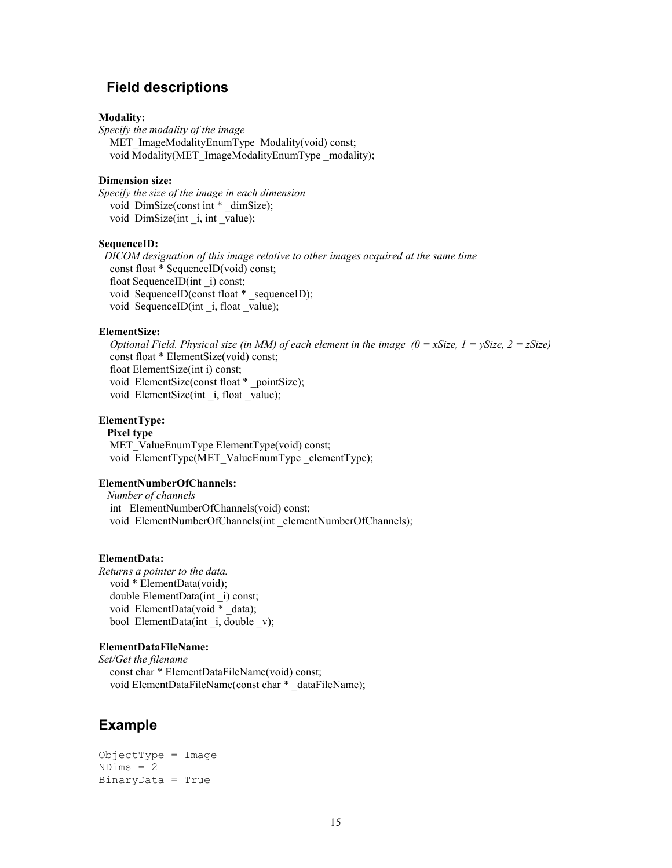### Field descriptions

#### Modality:

Specify the modality of the image MET\_ImageModalityEnumType\_Modality(void) const; void Modality(MET\_ImageModalityEnumType \_modality);

#### Dimension size:

Specify the size of the image in each dimension void DimSize(const int \* dimSize); void DimSize(int i, int value);

#### SequenceID:

 DICOM designation of this image relative to other images acquired at the same time const float \* SequenceID(void) const; float SequenceID(int \_i) const; void SequenceID(const float \* sequenceID); void SequenceID(int i, float value);

### ElementSize:

Optional Field. Physical size (in MM) of each element in the image  $(0 = xSize, 1 = ySize, 2 = zSize)$  const float \* ElementSize(void) const; float ElementSize(int i) const; void ElementSize(const float \* \_pointSize); void ElementSize(int \_i, float \_value);

### ElementType:

 Pixel type MET\_ValueEnumType ElementType(void) const; void ElementType(MET\_ValueEnumType \_elementType);

#### ElementNumberOfChannels:

 Number of channels int ElementNumberOfChannels(void) const; void ElementNumberOfChannels(int elementNumberOfChannels);

#### ElementData:

Returns a pointer to the data. void \* ElementData(void); double ElementData(int \_i) const; void ElementData(void \* data); bool ElementData(int i, double v);

#### ElementDataFileName:

Set/Get the filename const char \* ElementDataFileName(void) const; void ElementDataFileName(const char \* dataFileName);

### Example

```
ObjectType = Image 
NDims = 2BinaryData = True
```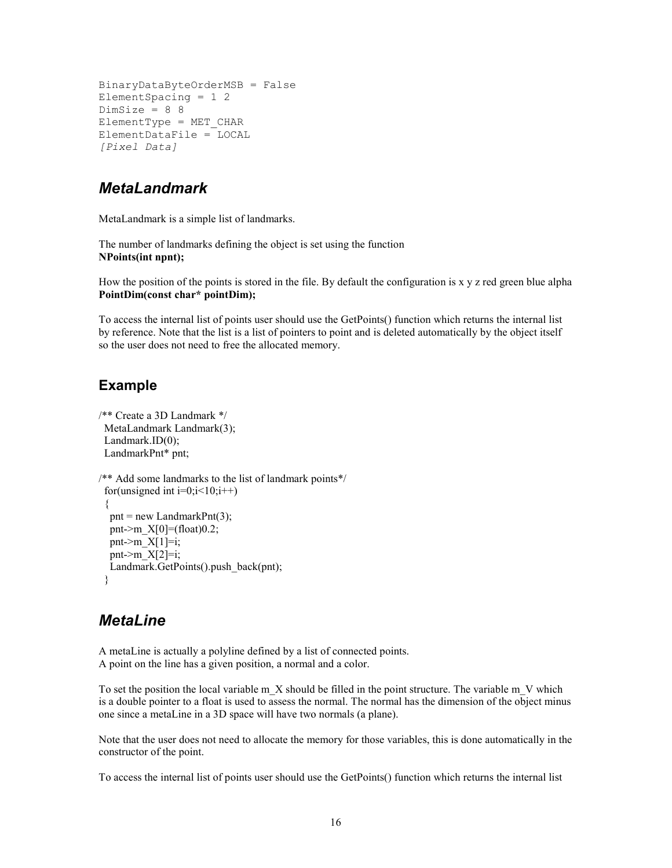```
BinaryDataByteOrderMSB = False 
ElementSpacing = 1 2 
DimSize = 8 8 
ElementType = MET_CHAR 
ElementDataFile = LOCAL 
[Pixel Data]
```
### MetaLandmark

MetaLandmark is a simple list of landmarks.

The number of landmarks defining the object is set using the function NPoints(int npnt);

How the position of the points is stored in the file. By default the configuration is  $x \, y \, z$  red green blue alpha PointDim(const char\* pointDim);

To access the internal list of points user should use the GetPoints() function which returns the internal list by reference. Note that the list is a list of pointers to point and is deleted automatically by the object itself so the user does not need to free the allocated memory.

### Example

```
/** Create a 3D Landmark */ 
  MetaLandmark Landmark(3); 
 Landmark.ID(0);
  LandmarkPnt* pnt; 
/** Add some landmarks to the list of landmark points*/ 
 for(unsigned int i=0; i<10; i++) { 
  pnt = new LandmarkPnt(3);pnt->m X[0] = (float)0.2;pnt->m_X[1]=i;pnt->m_X[2]=i;
  Landmark.GetPoints().push_back(pnt);
  }
```
### **MetaLine**

A metaLine is actually a polyline defined by a list of connected points. A point on the line has a given position, a normal and a color.

To set the position the local variable  $m$  X should be filled in the point structure. The variable  $m$  V which is a double pointer to a float is used to assess the normal. The normal has the dimension of the object minus one since a metaLine in a 3D space will have two normals (a plane).

Note that the user does not need to allocate the memory for those variables, this is done automatically in the constructor of the point.

To access the internal list of points user should use the GetPoints() function which returns the internal list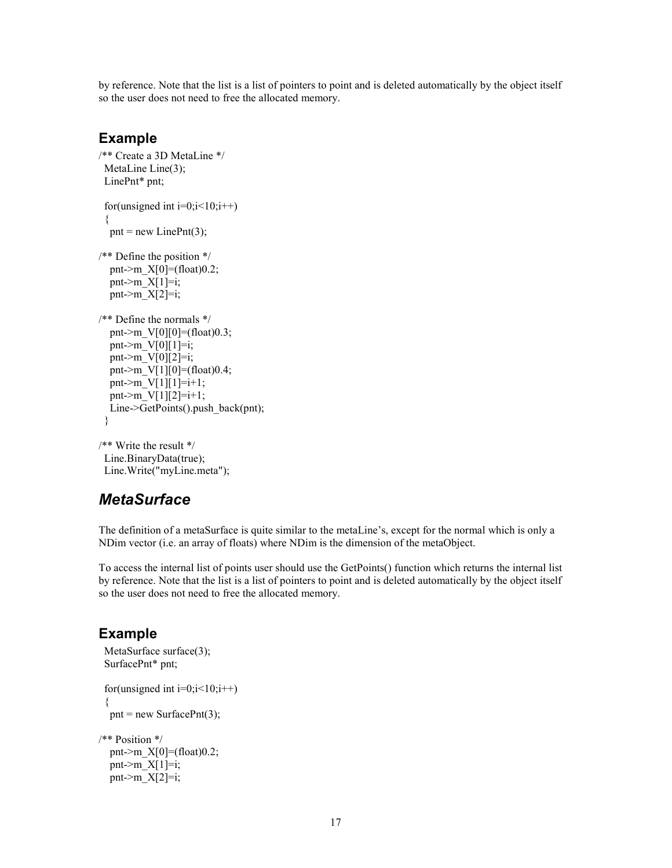by reference. Note that the list is a list of pointers to point and is deleted automatically by the object itself so the user does not need to free the allocated memory.

### Example

```
/** Create a 3D MetaLine */ 
 MetaLine Line(3);
  LinePnt* pnt; 
 for(unsigned int i=0; i<10; i++) { 
  pnt = new LinePnt(3);
/** Define the position */ 
  pnt->m X[0] = (float)0.2;pnt->m X[1]=i;
  pnt->m_X[2]=i;
/** Define the normals */ 
  pnt->m V[0][0]=(float)0.3;
  pnt->m V[0][1]=i;pnt->m V[0][2]=i; pnt->m_V[1][0]=(float)0.4; 
  pnt->m V[1][1]=i+1;pnt->m V[1][2]=i+1; Line->GetPoints().push_back(pnt); 
  }
```

```
/** Write the result */ 
  Line.BinaryData(true); 
  Line.Write("myLine.meta");
```
## **MetaSurface**

The definition of a metaSurface is quite similar to the metaLine's, except for the normal which is only a NDim vector (i.e. an array of floats) where NDim is the dimension of the metaObject.

To access the internal list of points user should use the GetPoints() function which returns the internal list by reference. Note that the list is a list of pointers to point and is deleted automatically by the object itself so the user does not need to free the allocated memory.

### Example

```
MetaSurface surface(3);
  SurfacePnt* pnt; 
 for(unsigned int i=0; i<10; i++) { 
  pnt = new SurfacePnt(3);
/** Position */ 
  pnt->m X[0] = (float)0.2;pnt->m_X[1]=i;
  pnt->m X[2]=i;
```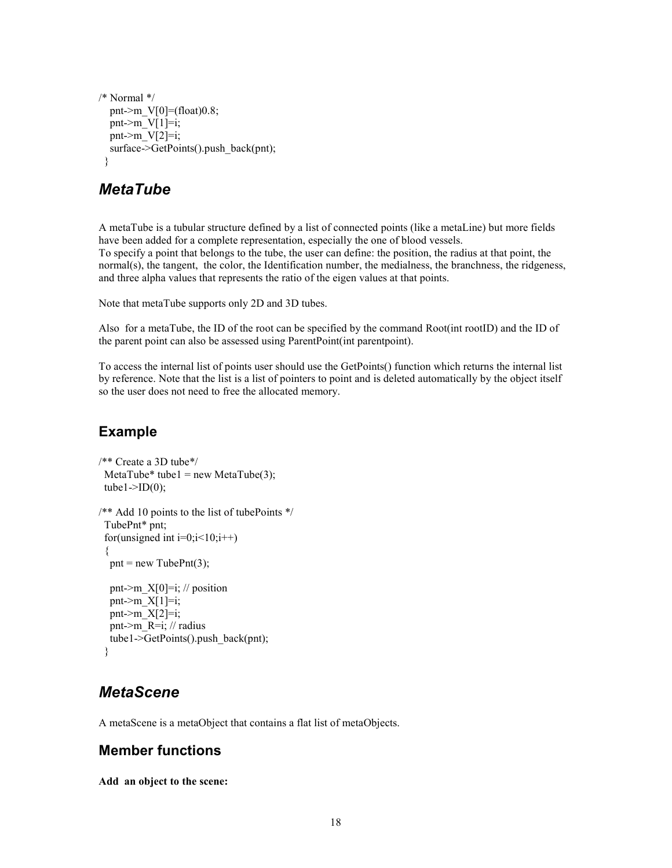```
/* Normal */ 
  pnt->m_V[0]=(float)0.8;
  pnt->m V[1]=i;
  pnt->m V[2]=i;
   surface->GetPoints().push_back(pnt); 
  }
```
### MetaTube

A metaTube is a tubular structure defined by a list of connected points (like a metaLine) but more fields have been added for a complete representation, especially the one of blood vessels. To specify a point that belongs to the tube, the user can define: the position, the radius at that point, the normal(s), the tangent, the color, the Identification number, the medialness, the branchness, the ridgeness, and three alpha values that represents the ratio of the eigen values at that points.

Note that metaTube supports only 2D and 3D tubes.

Also for a metaTube, the ID of the root can be specified by the command Root(int rootID) and the ID of the parent point can also be assessed using ParentPoint(int parentpoint).

To access the internal list of points user should use the GetPoints() function which returns the internal list by reference. Note that the list is a list of pointers to point and is deleted automatically by the object itself so the user does not need to free the allocated memory.

### Example

```
/** Create a 3D tube*/ 
 MetaTube* tube1 = new MetaTube(3);
 tube1\rightarrowID(0);
/** Add 10 points to the list of tubePoints */ 
  TubePnt* pnt; 
 for(unsigned int i=0; i<10; i++)\mathbf{f}pnt = new TubePnt(3);pnt->m X[0]=i; // position
  pnt->m X[1]=i;pnt->m_X[2]=i;
   pnt->m_R=i; // radius 
   tube1->GetPoints().push_back(pnt); 
  }
```
## **MetaScene**

A metaScene is a metaObject that contains a flat list of metaObjects.

### Member functions

Add an object to the scene: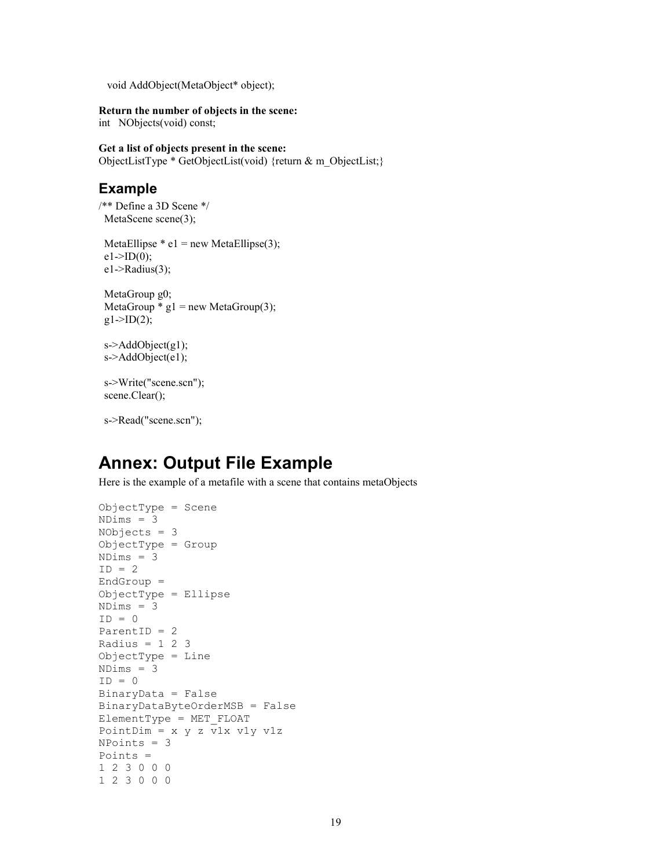void AddObject(MetaObject\* object);

#### Return the number of objects in the scene:

int NObjects(void) const;

#### Get a list of objects present in the scene:

ObjectListType \* GetObjectList(void) {return & m\_ObjectList;}

### Example

/\*\* Define a 3D Scene \*/ MetaScene scene(3);

MetaEllipse  $*$  e1 = new MetaEllipse(3);  $e1 > ID(0);$  $e1$ ->Radius(3);

 MetaGroup g0; MetaGroup  $*$  g1 = new MetaGroup(3);  $g1 > ID(2);$ 

```
 s->AddObject(g1); 
s->AddObject(e1);
```
 s->Write("scene.scn"); scene.Clear();

s->Read("scene.scn");

## Annex: Output File Example

Here is the example of a metafile with a scene that contains metaObjects

```
ObjectType = Scene 
NDims = 3 
NObjects = 3 
ObjectType = Group 
NDims = 3 
ID = 2EndGroup = 
ObjectType = Ellipse 
NDims = 3 
ID = 0ParentID = 2 
Radius = 1 2 3ObjectType = Line 
NDims = 3 
ID = 0BinaryData = False 
BinaryDataByteOrderMSB = False 
ElementType = MET_FLOAT 
PointDim = x y z v1x v1y v1z 
NPoints = 3 
Points = 
1 2 3 0 0 0 
1 2 3 0 0 0
```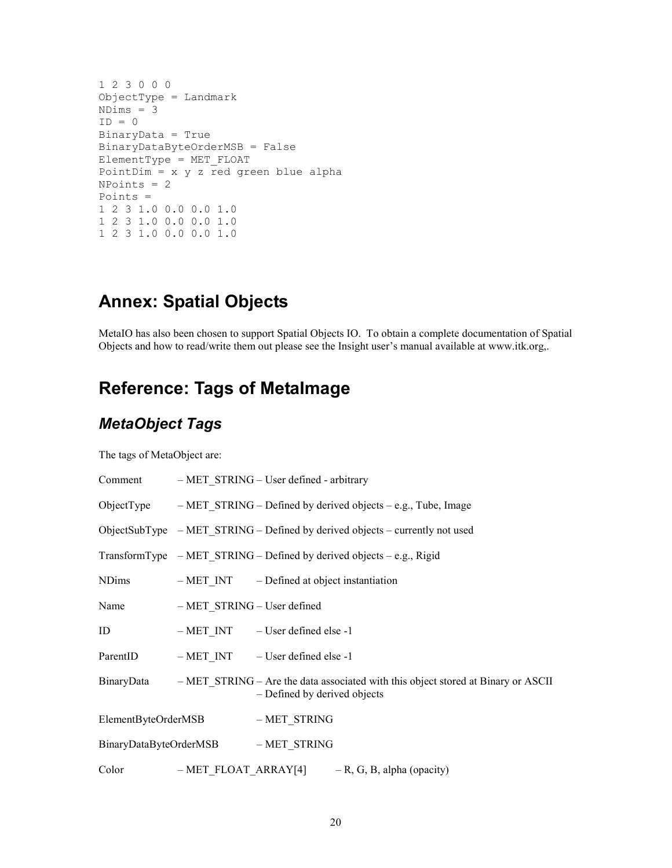```
1 2 3 0 0 0 
ObjectType = Landmark 
NDims = 3 
ID = 0BinaryData = True 
BinaryDataByteOrderMSB = False 
ElementType = MET_FLOAT 
PointDim = x \ y \ z red green blue alpha
NPoints = 2 
Points = 
1 2 3 1.0 0.0 0.0 1.0 
1 2 3 1.0 0.0 0.0 1.0 
1 2 3 1.0 0.0 0.0 1.0
```
# Annex: Spatial Objects

MetaIO has also been chosen to support Spatial Objects IO. To obtain a complete documentation of Spatial Objects and how to read/write them out please see the Insight user's manual available at www.itk.org,.

# Reference: Tags of MetaImage

## MetaObject Tags

The tags of MetaObject are:

|                                     |                                  | Comment - MET STRING - User defined - arbitrary                                                                              |
|-------------------------------------|----------------------------------|------------------------------------------------------------------------------------------------------------------------------|
|                                     |                                  | ObjectType $-$ MET STRING – Defined by derived objects – e.g., Tube, Image                                                   |
|                                     |                                  | ObjectSubType $-MET STRING - Defined by derived objects - currently not used$                                                |
|                                     |                                  | TransformType $-MET$ STRING – Defined by derived objects – e.g., Rigid                                                       |
| <b>NDims</b>                        |                                  | $-METINT$ - Defined at object instantiation                                                                                  |
|                                     | Name – MET STRING – User defined |                                                                                                                              |
| ID                                  |                                  | - MET_INT - User defined else -1                                                                                             |
|                                     |                                  | ParentID - MET INT - User defined else -1                                                                                    |
|                                     |                                  | BinaryData – MET_STRING – Are the data associated with this object stored at Binary or ASCII<br>- Defined by derived objects |
| ElementByteOrderMSB - MET STRING    |                                  |                                                                                                                              |
| BinaryDataByteOrderMSB - MET STRING |                                  |                                                                                                                              |
|                                     |                                  | Color - MET_FLOAT_ARRAY[4] - R, G, B, alpha (opacity)                                                                        |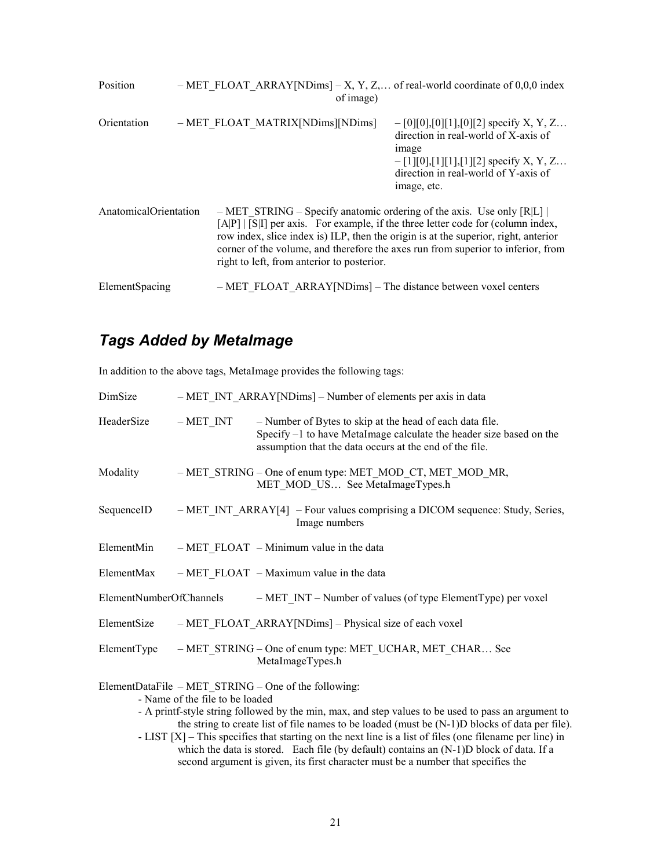| Position              |  | of image)                                                                                                              | $-$ MET FLOAT ARRAY[NDims] $-$ X, Y, Z, of real-world coordinate of 0,0,0 index                                                                                                                                                                              |
|-----------------------|--|------------------------------------------------------------------------------------------------------------------------|--------------------------------------------------------------------------------------------------------------------------------------------------------------------------------------------------------------------------------------------------------------|
| Orientation           |  | - MET FLOAT MATRIX[NDims][NDims]                                                                                       | $-[0][0],[0][1],[0][2]$ specify X, Y, Z<br>direction in real-world of X-axis of<br><i>image</i><br>$-[1][0],[1][1],[1][2]$ specify X, Y, Z<br>direction in real-world of Y-axis of<br>image, etc.                                                            |
| AnatomicalOrientation |  | $-$ MET STRING – Specify anatomic ordering of the axis. Use only [R L]  <br>right to left, from anterior to posterior. | $[A P]   S I]$ per axis. For example, if the three letter code for (column index,<br>row index, slice index is) ILP, then the origin is at the superior, right, anterior<br>corner of the volume, and therefore the axes run from superior to inferior, from |
| ElementSpacing        |  | - MET FLOAT ARRAY [NDims] - The distance between voxel centers                                                         |                                                                                                                                                                                                                                                              |

# Tags Added by MetaImage

In addition to the above tags, MetaImage provides the following tags:

| DimSize                                                                                                                                                                                                                                                                                            |           | - MET INT ARRAY [NDims] - Number of elements per axis in data                                                                                                                              |  |  |  |
|----------------------------------------------------------------------------------------------------------------------------------------------------------------------------------------------------------------------------------------------------------------------------------------------------|-----------|--------------------------------------------------------------------------------------------------------------------------------------------------------------------------------------------|--|--|--|
| HeaderSize                                                                                                                                                                                                                                                                                         | $-METINT$ | - Number of Bytes to skip at the head of each data file.<br>Specify -1 to have MetaImage calculate the header size based on the<br>assumption that the data occurs at the end of the file. |  |  |  |
| Modality                                                                                                                                                                                                                                                                                           |           | - MET_STRING - One of enum type: MET_MOD_CT, MET_MOD_MR,<br>MET MOD US See MetaImageTypes.h                                                                                                |  |  |  |
| SequenceID                                                                                                                                                                                                                                                                                         |           | $-MET INT ARRAY[4]$ – Four values comprising a DICOM sequence: Study, Series,<br>Image numbers                                                                                             |  |  |  |
| ElementMin                                                                                                                                                                                                                                                                                         |           | $-MET$ FLOAT $-Minimum$ value in the data                                                                                                                                                  |  |  |  |
|                                                                                                                                                                                                                                                                                                    |           | ElementMax $-MET FLOAT - Maximum value$ in the data                                                                                                                                        |  |  |  |
|                                                                                                                                                                                                                                                                                                    |           | ElementNumberOfChannels - MET INT - Number of values (of type ElementType) per voxel                                                                                                       |  |  |  |
|                                                                                                                                                                                                                                                                                                    |           | ElementSize – MET FLOAT ARRAY [NDims] – Physical size of each voxel                                                                                                                        |  |  |  |
|                                                                                                                                                                                                                                                                                                    |           | ElementType – MET STRING – One of enum type: MET UCHAR, MET CHAR See<br>MetaImageTypes.h                                                                                                   |  |  |  |
| ElementDataFile – MET STRING – One of the following:<br>- Name of the file to be loaded<br>- A printf-style string followed by the min, max, and step values to be used to pass an argument to<br>the string to create list of file names to be loaded (must be $(N-1)D$ blocks of data per file). |           |                                                                                                                                                                                            |  |  |  |

- LIST [X] – This specifies that starting on the next line is a list of files (one filename per line) in which the data is stored. Each file (by default) contains an (N-1)D block of data. If a second argument is given, its first character must be a number that specifies the